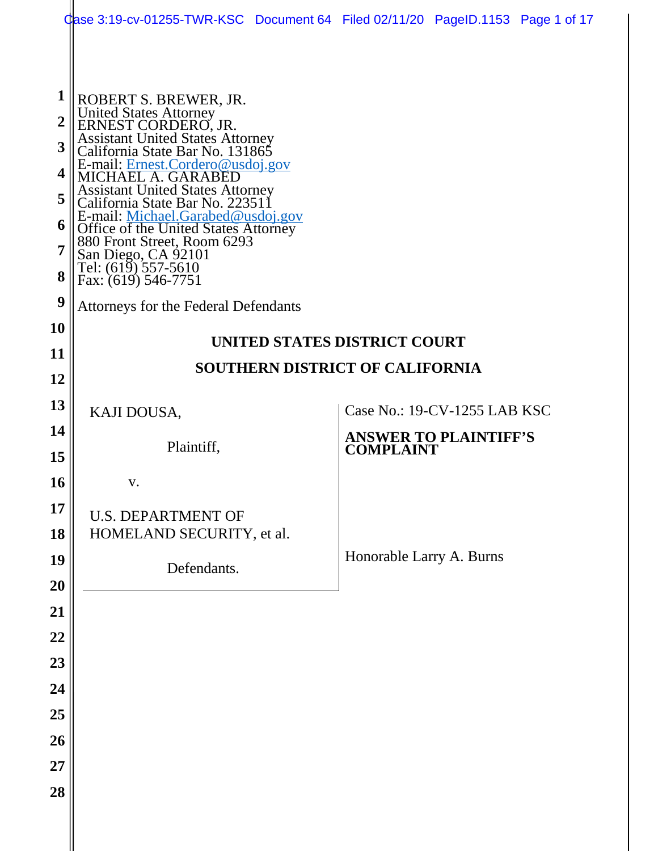|                 | Case 3:19-cv-01255-TWR-KSC Document 64 Filed 02/11/20 PageID.1153 Page 1 of 17                                                                                                                                                   |  |                                                  |  |  |  |  |
|-----------------|----------------------------------------------------------------------------------------------------------------------------------------------------------------------------------------------------------------------------------|--|--------------------------------------------------|--|--|--|--|
|                 |                                                                                                                                                                                                                                  |  |                                                  |  |  |  |  |
| $\mathbf 1$     | ROBERT S. BREWER, JR.                                                                                                                                                                                                            |  |                                                  |  |  |  |  |
| $\overline{2}$  |                                                                                                                                                                                                                                  |  |                                                  |  |  |  |  |
| 3               | United States Attorney<br>ERNEST CORDERO, JR.<br>Assistant United States Attorney<br>California State Bar No. 131865                                                                                                             |  |                                                  |  |  |  |  |
| 4               | E-mail: Ernest.Cordero@usdoj.gov<br>MICHAEL A. GARABED                                                                                                                                                                           |  |                                                  |  |  |  |  |
| 5               | Assistant United States Attorney<br>California State Bar No. 223511                                                                                                                                                              |  |                                                  |  |  |  |  |
| 6               |                                                                                                                                                                                                                                  |  |                                                  |  |  |  |  |
| 7               | E-mail: <u>Michael.Garabed@usdoj.gov</u><br>E-mail: <u>Michael.Garabed@usdoj.gov</u><br>Office of the United States Attorney<br>880 Front Street, Room 6293<br>San Diego, CA 92101<br>Tel: (619) 557-5610<br>Fax: (619) 546-7751 |  |                                                  |  |  |  |  |
| 8               |                                                                                                                                                                                                                                  |  |                                                  |  |  |  |  |
| 9               | Attorneys for the Federal Defendants                                                                                                                                                                                             |  |                                                  |  |  |  |  |
| 10              | UNITED STATES DISTRICT COURT                                                                                                                                                                                                     |  |                                                  |  |  |  |  |
| 11              | <b>SOUTHERN DISTRICT OF CALIFORNIA</b>                                                                                                                                                                                           |  |                                                  |  |  |  |  |
| 12<br>13        |                                                                                                                                                                                                                                  |  |                                                  |  |  |  |  |
| 14              | KAJI DOUSA,                                                                                                                                                                                                                      |  | Case No.: 19-CV-1255 LAB KSC                     |  |  |  |  |
| 15              | Plaintiff,                                                                                                                                                                                                                       |  | <b>ANSWER TO PLAINTIFF'S</b><br><b>COMPLAINT</b> |  |  |  |  |
| 16 <sub>1</sub> | V.                                                                                                                                                                                                                               |  |                                                  |  |  |  |  |
| 17              | <b>U.S. DEPARTMENT OF</b>                                                                                                                                                                                                        |  |                                                  |  |  |  |  |
| 18              | HOMELAND SECURITY, et al.                                                                                                                                                                                                        |  |                                                  |  |  |  |  |
| 19              | Defendants.                                                                                                                                                                                                                      |  | Honorable Larry A. Burns                         |  |  |  |  |
| 20              |                                                                                                                                                                                                                                  |  |                                                  |  |  |  |  |
| 21              |                                                                                                                                                                                                                                  |  |                                                  |  |  |  |  |
| 22              |                                                                                                                                                                                                                                  |  |                                                  |  |  |  |  |
| 23              |                                                                                                                                                                                                                                  |  |                                                  |  |  |  |  |
| 24              |                                                                                                                                                                                                                                  |  |                                                  |  |  |  |  |
| 25<br>26        |                                                                                                                                                                                                                                  |  |                                                  |  |  |  |  |
| 27              |                                                                                                                                                                                                                                  |  |                                                  |  |  |  |  |
| 28              |                                                                                                                                                                                                                                  |  |                                                  |  |  |  |  |
|                 |                                                                                                                                                                                                                                  |  |                                                  |  |  |  |  |
|                 |                                                                                                                                                                                                                                  |  |                                                  |  |  |  |  |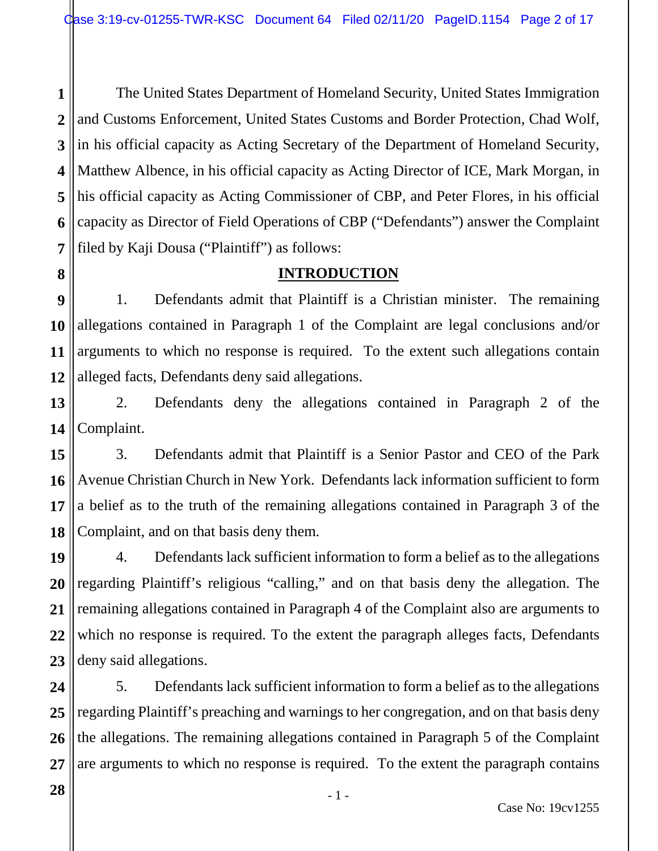**1 2 3 4 5 6 7** The United States Department of Homeland Security, United States Immigration and Customs Enforcement, United States Customs and Border Protection, Chad Wolf, in his official capacity as Acting Secretary of the Department of Homeland Security, Matthew Albence, in his official capacity as Acting Director of ICE, Mark Morgan, in his official capacity as Acting Commissioner of CBP, and Peter Flores, in his official capacity as Director of Field Operations of CBP ("Defendants") answer the Complaint filed by Kaji Dousa ("Plaintiff") as follows:

# **INTRODUCTION**

**9 10 11 12** 1. Defendants admit that Plaintiff is a Christian minister. The remaining allegations contained in Paragraph 1 of the Complaint are legal conclusions and/or arguments to which no response is required. To the extent such allegations contain alleged facts, Defendants deny said allegations.

**13 14** 2. Defendants deny the allegations contained in Paragraph 2 of the Complaint.

**15 16 17 18** 3. Defendants admit that Plaintiff is a Senior Pastor and CEO of the Park Avenue Christian Church in New York. Defendants lack information sufficient to form a belief as to the truth of the remaining allegations contained in Paragraph 3 of the Complaint, and on that basis deny them.

**19 20 21 22 23** 4. Defendants lack sufficient information to form a belief as to the allegations regarding Plaintiff's religious "calling," and on that basis deny the allegation. The remaining allegations contained in Paragraph 4 of the Complaint also are arguments to which no response is required. To the extent the paragraph alleges facts, Defendants deny said allegations.

**24 25 26 27** 5. Defendants lack sufficient information to form a belief as to the allegations regarding Plaintiff's preaching and warnings to her congregation, and on that basis deny the allegations. The remaining allegations contained in Paragraph 5 of the Complaint are arguments to which no response is required. To the extent the paragraph contains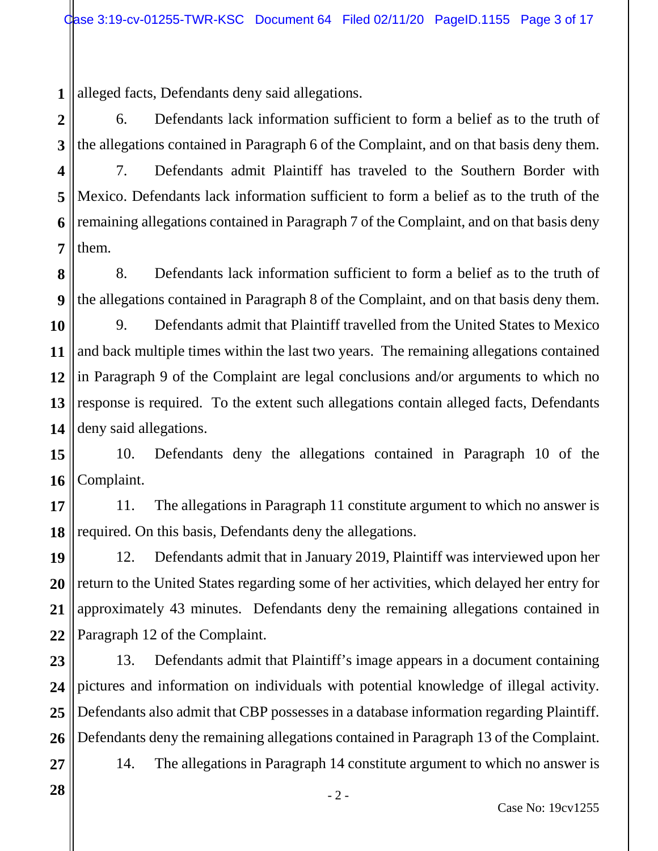**1** alleged facts, Defendants deny said allegations.

**2 3** 6. Defendants lack information sufficient to form a belief as to the truth of the allegations contained in Paragraph 6 of the Complaint, and on that basis deny them.

**4 5 6 7** 7. Defendants admit Plaintiff has traveled to the Southern Border with Mexico. Defendants lack information sufficient to form a belief as to the truth of the remaining allegations contained in Paragraph 7 of the Complaint, and on that basis deny them.

**8 9** 8. Defendants lack information sufficient to form a belief as to the truth of the allegations contained in Paragraph 8 of the Complaint, and on that basis deny them.

**10 11 12 13 14** 9. Defendants admit that Plaintiff travelled from the United States to Mexico and back multiple times within the last two years. The remaining allegations contained in Paragraph 9 of the Complaint are legal conclusions and/or arguments to which no response is required. To the extent such allegations contain alleged facts, Defendants deny said allegations.

**15 16** 10. Defendants deny the allegations contained in Paragraph 10 of the Complaint.

**17 18** 11. The allegations in Paragraph 11 constitute argument to which no answer is required. On this basis, Defendants deny the allegations.

**19 20 21 22** 12. Defendants admit that in January 2019, Plaintiff was interviewed upon her return to the United States regarding some of her activities, which delayed her entry for approximately 43 minutes. Defendants deny the remaining allegations contained in Paragraph 12 of the Complaint.

**23 24 25 26 27** 13. Defendants admit that Plaintiff's image appears in a document containing pictures and information on individuals with potential knowledge of illegal activity. Defendants also admit that CBP possesses in a database information regarding Plaintiff. Defendants deny the remaining allegations contained in Paragraph 13 of the Complaint.

**28**

14. The allegations in Paragraph 14 constitute argument to which no answer is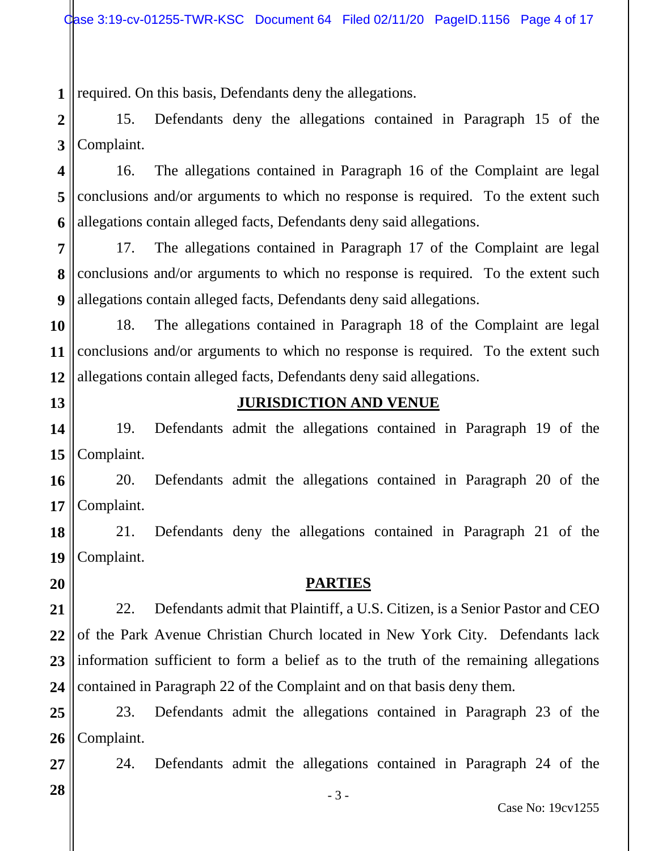**1** required. On this basis, Defendants deny the allegations.

**2 3** 15. Defendants deny the allegations contained in Paragraph 15 of the Complaint.

**4 5 6** 16. The allegations contained in Paragraph 16 of the Complaint are legal conclusions and/or arguments to which no response is required. To the extent such allegations contain alleged facts, Defendants deny said allegations.

**7 8 9** 17. The allegations contained in Paragraph 17 of the Complaint are legal conclusions and/or arguments to which no response is required. To the extent such allegations contain alleged facts, Defendants deny said allegations.

**10 11 12** 18. The allegations contained in Paragraph 18 of the Complaint are legal conclusions and/or arguments to which no response is required. To the extent such allegations contain alleged facts, Defendants deny said allegations.

**13**

## **JURISDICTION AND VENUE**

**14 15** 19. Defendants admit the allegations contained in Paragraph 19 of the Complaint.

**16 17** 20. Defendants admit the allegations contained in Paragraph 20 of the Complaint.

**18 19** 21. Defendants deny the allegations contained in Paragraph 21 of the Complaint.

**20**

**27**

**28**

#### **PARTIES**

**21 22 23 24** 22. Defendants admit that Plaintiff, a U.S. Citizen, is a Senior Pastor and CEO of the Park Avenue Christian Church located in New York City. Defendants lack information sufficient to form a belief as to the truth of the remaining allegations contained in Paragraph 22 of the Complaint and on that basis deny them.

**25 26** 23. Defendants admit the allegations contained in Paragraph 23 of the Complaint.

24. Defendants admit the allegations contained in Paragraph 24 of the

- 3 -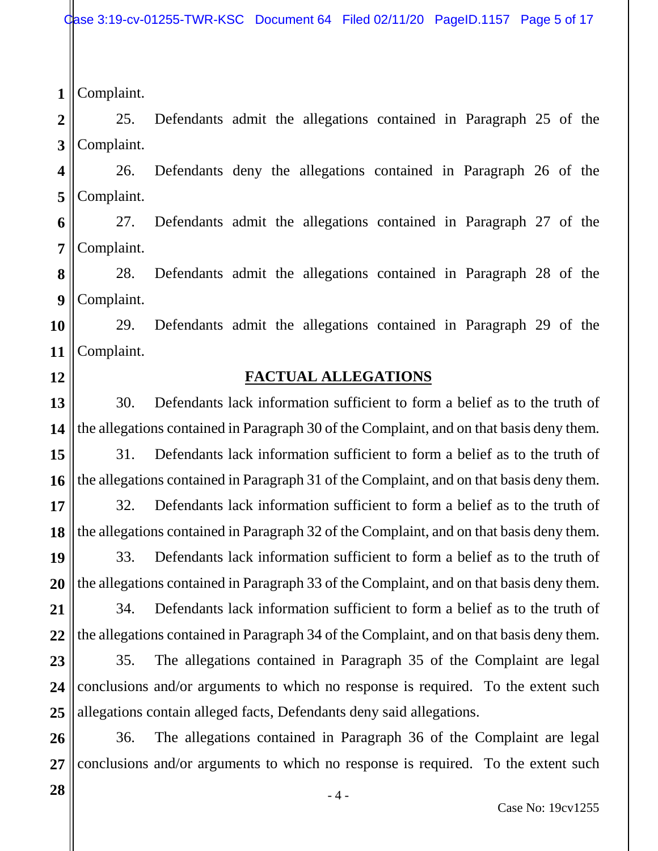Case 3:19-cv-01255-TWR-KSC Document 64 Filed 02/11/20 PageID.1157 Page 5 of 17

**1** Complaint.

**2 3** 25. Defendants admit the allegations contained in Paragraph 25 of the Complaint.

**4 5** 26. Defendants deny the allegations contained in Paragraph 26 of the Complaint.

**6 7** 27. Defendants admit the allegations contained in Paragraph 27 of the Complaint.

**8 9** 28. Defendants admit the allegations contained in Paragraph 28 of the Complaint.

**10 11** 29. Defendants admit the allegations contained in Paragraph 29 of the Complaint.

**12**

#### **FACTUAL ALLEGATIONS**

**13 14** 30. Defendants lack information sufficient to form a belief as to the truth of the allegations contained in Paragraph 30 of the Complaint, and on that basis deny them.

**15 16** 31. Defendants lack information sufficient to form a belief as to the truth of the allegations contained in Paragraph 31 of the Complaint, and on that basis deny them.

**17 18** 32. Defendants lack information sufficient to form a belief as to the truth of the allegations contained in Paragraph 32 of the Complaint, and on that basis deny them.

**19 20** 33. Defendants lack information sufficient to form a belief as to the truth of the allegations contained in Paragraph 33 of the Complaint, and on that basis deny them.

**21 22** 34. Defendants lack information sufficient to form a belief as to the truth of the allegations contained in Paragraph 34 of the Complaint, and on that basis deny them.

**23 24 25** 35. The allegations contained in Paragraph 35 of the Complaint are legal conclusions and/or arguments to which no response is required. To the extent such allegations contain alleged facts, Defendants deny said allegations.

**26 27** 36. The allegations contained in Paragraph 36 of the Complaint are legal conclusions and/or arguments to which no response is required. To the extent such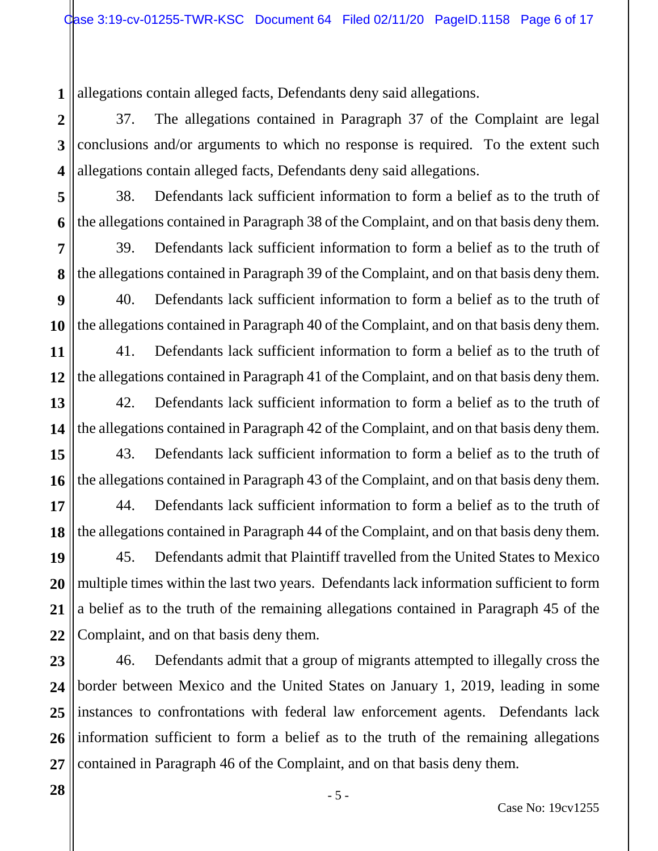**1** allegations contain alleged facts, Defendants deny said allegations.

**2 3 4** 37. The allegations contained in Paragraph 37 of the Complaint are legal conclusions and/or arguments to which no response is required. To the extent such allegations contain alleged facts, Defendants deny said allegations.

**5 6** 38. Defendants lack sufficient information to form a belief as to the truth of the allegations contained in Paragraph 38 of the Complaint, and on that basis deny them.

**7 8** 39. Defendants lack sufficient information to form a belief as to the truth of the allegations contained in Paragraph 39 of the Complaint, and on that basis deny them.

**9 10** 40. Defendants lack sufficient information to form a belief as to the truth of the allegations contained in Paragraph 40 of the Complaint, and on that basis deny them.

**11 12** 41. Defendants lack sufficient information to form a belief as to the truth of the allegations contained in Paragraph 41 of the Complaint, and on that basis deny them.

**13 14** 42. Defendants lack sufficient information to form a belief as to the truth of the allegations contained in Paragraph 42 of the Complaint, and on that basis deny them.

**15 16** 43. Defendants lack sufficient information to form a belief as to the truth of the allegations contained in Paragraph 43 of the Complaint, and on that basis deny them.

**17 18** 44. Defendants lack sufficient information to form a belief as to the truth of the allegations contained in Paragraph 44 of the Complaint, and on that basis deny them.

**19 20 21 22** 45. Defendants admit that Plaintiff travelled from the United States to Mexico multiple times within the last two years. Defendants lack information sufficient to form a belief as to the truth of the remaining allegations contained in Paragraph 45 of the Complaint, and on that basis deny them.

**23 24 25 26 27** 46. Defendants admit that a group of migrants attempted to illegally cross the border between Mexico and the United States on January 1, 2019, leading in some instances to confrontations with federal law enforcement agents. Defendants lack information sufficient to form a belief as to the truth of the remaining allegations contained in Paragraph 46 of the Complaint, and on that basis deny them.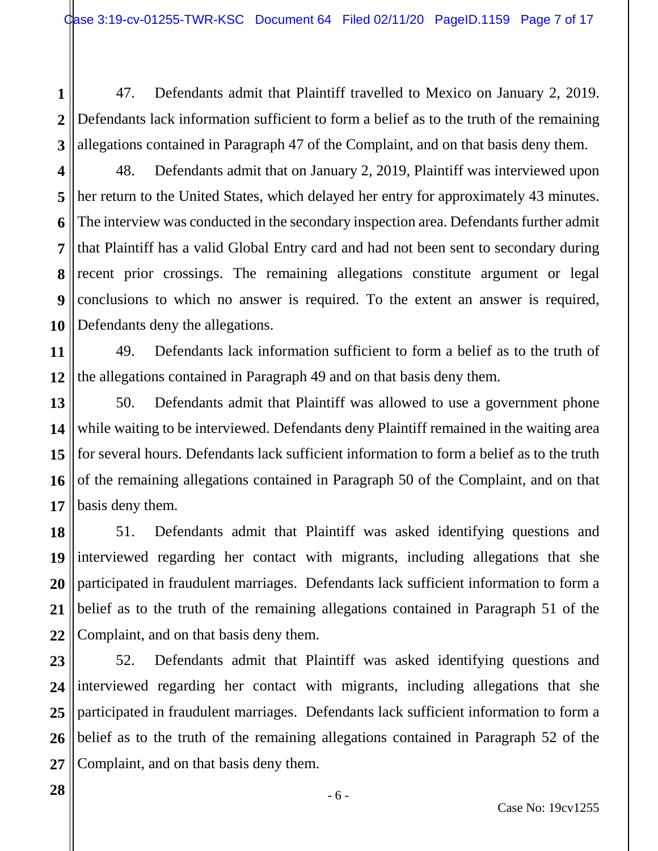**1 2 3** 47. Defendants admit that Plaintiff travelled to Mexico on January 2, 2019. Defendants lack information sufficient to form a belief as to the truth of the remaining allegations contained in Paragraph 47 of the Complaint, and on that basis deny them.

**4 5 6 7 8 9 10** 48. Defendants admit that on January 2, 2019, Plaintiff was interviewed upon her return to the United States, which delayed her entry for approximately 43 minutes. The interview was conducted in the secondary inspection area. Defendants further admit that Plaintiff has a valid Global Entry card and had not been sent to secondary during recent prior crossings. The remaining allegations constitute argument or legal conclusions to which no answer is required. To the extent an answer is required, Defendants deny the allegations.

**11 12** 49. Defendants lack information sufficient to form a belief as to the truth of the allegations contained in Paragraph 49 and on that basis deny them.

**13 14 15 16 17** 50. Defendants admit that Plaintiff was allowed to use a government phone while waiting to be interviewed. Defendants deny Plaintiff remained in the waiting area for several hours. Defendants lack sufficient information to form a belief as to the truth of the remaining allegations contained in Paragraph 50 of the Complaint, and on that basis deny them.

**18 19 20 21 22** 51. Defendants admit that Plaintiff was asked identifying questions and interviewed regarding her contact with migrants, including allegations that she participated in fraudulent marriages. Defendants lack sufficient information to form a belief as to the truth of the remaining allegations contained in Paragraph 51 of the Complaint, and on that basis deny them.

**23 24 25 26 27** 52. Defendants admit that Plaintiff was asked identifying questions and interviewed regarding her contact with migrants, including allegations that she participated in fraudulent marriages. Defendants lack sufficient information to form a belief as to the truth of the remaining allegations contained in Paragraph 52 of the Complaint, and on that basis deny them.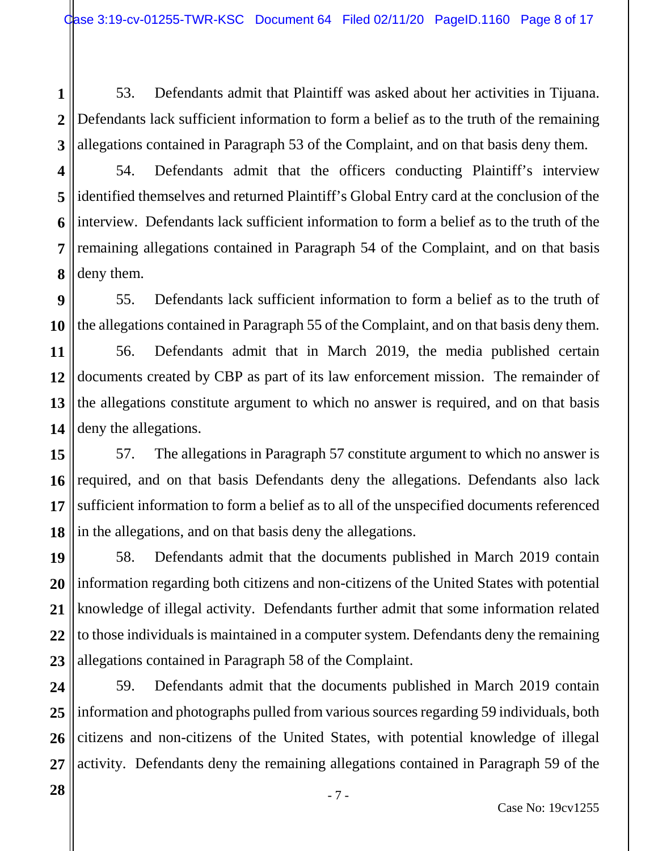**1 2 3** 53. Defendants admit that Plaintiff was asked about her activities in Tijuana. Defendants lack sufficient information to form a belief as to the truth of the remaining allegations contained in Paragraph 53 of the Complaint, and on that basis deny them.

**4 5 6 7 8** 54. Defendants admit that the officers conducting Plaintiff's interview identified themselves and returned Plaintiff's Global Entry card at the conclusion of the interview. Defendants lack sufficient information to form a belief as to the truth of the remaining allegations contained in Paragraph 54 of the Complaint, and on that basis deny them.

**9 10** 55. Defendants lack sufficient information to form a belief as to the truth of the allegations contained in Paragraph 55 of the Complaint, and on that basis deny them.

**11 12 13 14** 56. Defendants admit that in March 2019, the media published certain documents created by CBP as part of its law enforcement mission. The remainder of the allegations constitute argument to which no answer is required, and on that basis deny the allegations.

**15 16 17 18** 57. The allegations in Paragraph 57 constitute argument to which no answer is required, and on that basis Defendants deny the allegations. Defendants also lack sufficient information to form a belief as to all of the unspecified documents referenced in the allegations, and on that basis deny the allegations.

**19 20 21 22 23** 58. Defendants admit that the documents published in March 2019 contain information regarding both citizens and non-citizens of the United States with potential knowledge of illegal activity. Defendants further admit that some information related to those individuals is maintained in a computer system. Defendants deny the remaining allegations contained in Paragraph 58 of the Complaint.

**24 25 26 27** 59. Defendants admit that the documents published in March 2019 contain information and photographs pulled from various sources regarding 59 individuals, both citizens and non-citizens of the United States, with potential knowledge of illegal activity. Defendants deny the remaining allegations contained in Paragraph 59 of the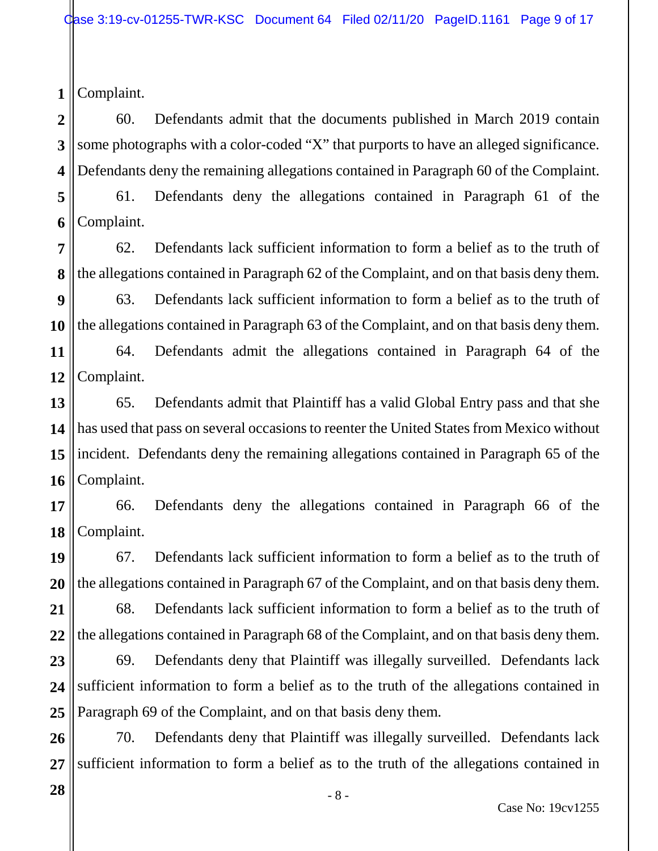**2 3 4** 60. Defendants admit that the documents published in March 2019 contain some photographs with a color-coded "X" that purports to have an alleged significance. Defendants deny the remaining allegations contained in Paragraph 60 of the Complaint.

**5 6** 61. Defendants deny the allegations contained in Paragraph 61 of the Complaint.

**7 8** 62. Defendants lack sufficient information to form a belief as to the truth of the allegations contained in Paragraph 62 of the Complaint, and on that basis deny them.

**9 10** 63. Defendants lack sufficient information to form a belief as to the truth of the allegations contained in Paragraph 63 of the Complaint, and on that basis deny them.

**11 12** 64. Defendants admit the allegations contained in Paragraph 64 of the Complaint.

**13 14 15 16** 65. Defendants admit that Plaintiff has a valid Global Entry pass and that she has used that pass on several occasions to reenter the United States from Mexico without incident. Defendants deny the remaining allegations contained in Paragraph 65 of the Complaint.

**17 18** 66. Defendants deny the allegations contained in Paragraph 66 of the Complaint.

**19 20** 67. Defendants lack sufficient information to form a belief as to the truth of the allegations contained in Paragraph 67 of the Complaint, and on that basis deny them.

**21 22** 68. Defendants lack sufficient information to form a belief as to the truth of the allegations contained in Paragraph 68 of the Complaint, and on that basis deny them.

**23 24 25** 69. Defendants deny that Plaintiff was illegally surveilled. Defendants lack sufficient information to form a belief as to the truth of the allegations contained in Paragraph 69 of the Complaint, and on that basis deny them.

**26 27** 70. Defendants deny that Plaintiff was illegally surveilled. Defendants lack sufficient information to form a belief as to the truth of the allegations contained in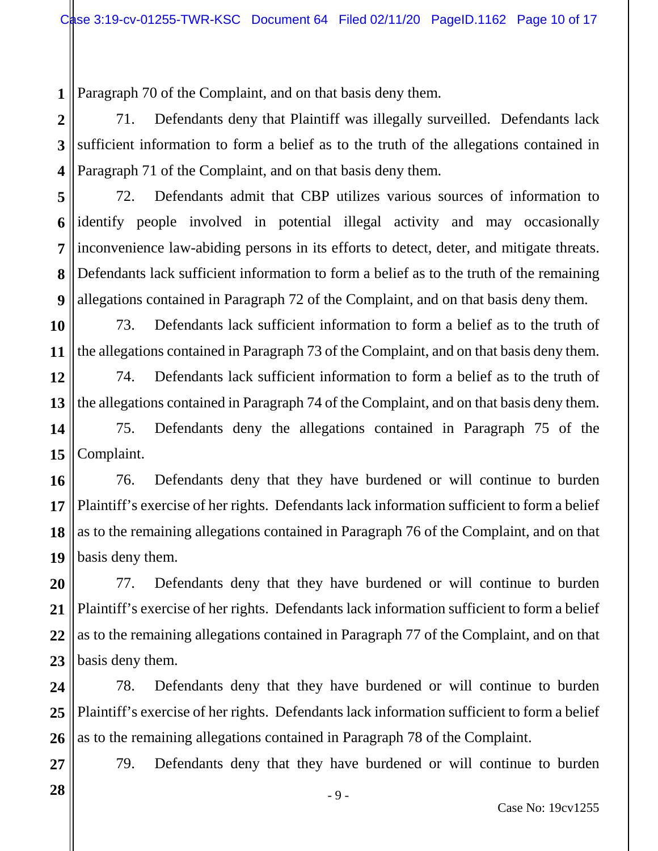**1** Paragraph 70 of the Complaint, and on that basis deny them.

**2 3 4** 71. Defendants deny that Plaintiff was illegally surveilled. Defendants lack sufficient information to form a belief as to the truth of the allegations contained in Paragraph 71 of the Complaint, and on that basis deny them.

**5 6 7 8 9** 72. Defendants admit that CBP utilizes various sources of information to identify people involved in potential illegal activity and may occasionally inconvenience law-abiding persons in its efforts to detect, deter, and mitigate threats. Defendants lack sufficient information to form a belief as to the truth of the remaining allegations contained in Paragraph 72 of the Complaint, and on that basis deny them.

**10 11** 73. Defendants lack sufficient information to form a belief as to the truth of the allegations contained in Paragraph 73 of the Complaint, and on that basis deny them.

**12 13** 74. Defendants lack sufficient information to form a belief as to the truth of the allegations contained in Paragraph 74 of the Complaint, and on that basis deny them.

**14 15** 75. Defendants deny the allegations contained in Paragraph 75 of the Complaint.

**16 17 18 19** 76. Defendants deny that they have burdened or will continue to burden Plaintiff's exercise of her rights. Defendants lack information sufficient to form a belief as to the remaining allegations contained in Paragraph 76 of the Complaint, and on that basis deny them.

**20 21 22 23** 77. Defendants deny that they have burdened or will continue to burden Plaintiff's exercise of her rights. Defendants lack information sufficient to form a belief as to the remaining allegations contained in Paragraph 77 of the Complaint, and on that basis deny them.

**24 25 26** 78. Defendants deny that they have burdened or will continue to burden Plaintiff's exercise of her rights. Defendants lack information sufficient to form a belief as to the remaining allegations contained in Paragraph 78 of the Complaint.

79. Defendants deny that they have burdened or will continue to burden

**27**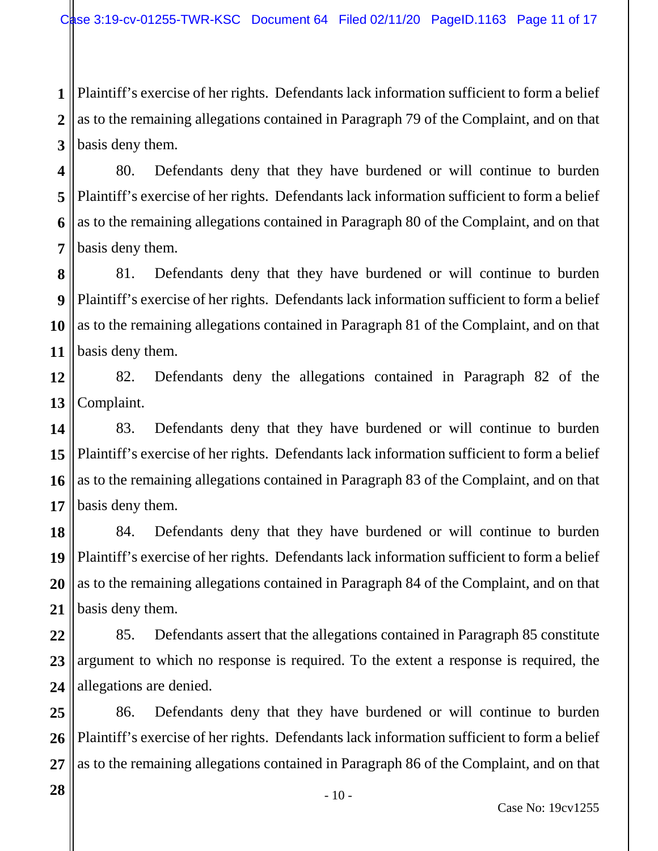**1 2 3** Plaintiff's exercise of her rights. Defendants lack information sufficient to form a belief as to the remaining allegations contained in Paragraph 79 of the Complaint, and on that basis deny them.

**4 5 6 7** 80. Defendants deny that they have burdened or will continue to burden Plaintiff's exercise of her rights. Defendants lack information sufficient to form a belief as to the remaining allegations contained in Paragraph 80 of the Complaint, and on that basis deny them.

**8 9 10 11** 81. Defendants deny that they have burdened or will continue to burden Plaintiff's exercise of her rights. Defendants lack information sufficient to form a belief as to the remaining allegations contained in Paragraph 81 of the Complaint, and on that basis deny them.

**12 13** 82. Defendants deny the allegations contained in Paragraph 82 of the Complaint.

**14 15 16 17** 83. Defendants deny that they have burdened or will continue to burden Plaintiff's exercise of her rights. Defendants lack information sufficient to form a belief as to the remaining allegations contained in Paragraph 83 of the Complaint, and on that basis deny them.

**18 19 20 21** 84. Defendants deny that they have burdened or will continue to burden Plaintiff's exercise of her rights. Defendants lack information sufficient to form a belief as to the remaining allegations contained in Paragraph 84 of the Complaint, and on that basis deny them.

**22 23 24** 85. Defendants assert that the allegations contained in Paragraph 85 constitute argument to which no response is required. To the extent a response is required, the allegations are denied.

**25 26 27** 86. Defendants deny that they have burdened or will continue to burden Plaintiff's exercise of her rights. Defendants lack information sufficient to form a belief as to the remaining allegations contained in Paragraph 86 of the Complaint, and on that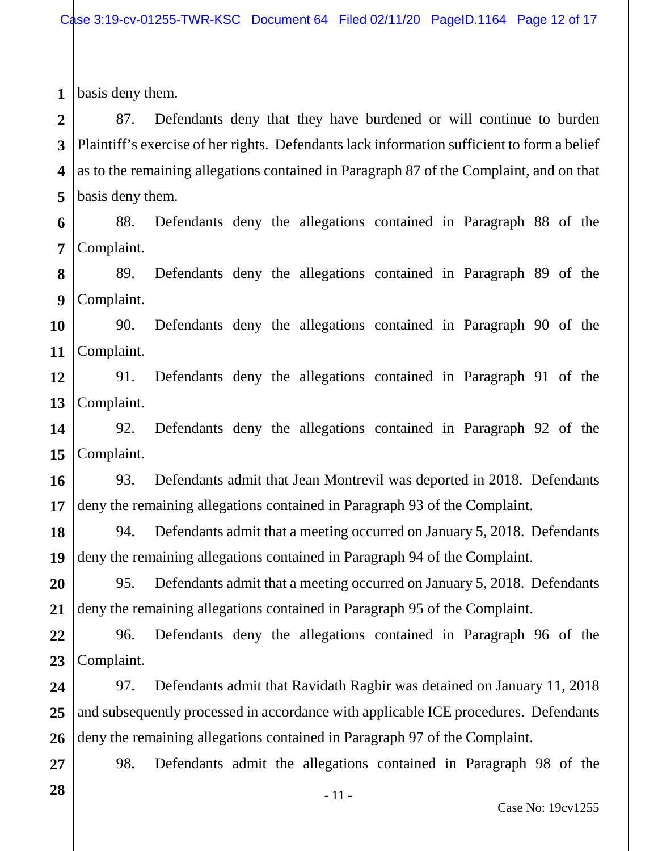**1** basis deny them.

**2 3 4 5** 87. Defendants deny that they have burdened or will continue to burden Plaintiff's exercise of her rights. Defendants lack information sufficient to form a belief as to the remaining allegations contained in Paragraph 87 of the Complaint, and on that basis deny them.

**6 7** 88. Defendants deny the allegations contained in Paragraph 88 of the Complaint.

**8 9** 89. Defendants deny the allegations contained in Paragraph 89 of the Complaint.

**10 11** 90. Defendants deny the allegations contained in Paragraph 90 of the Complaint.

**12 13** 91. Defendants deny the allegations contained in Paragraph 91 of the Complaint.

**14 15** 92. Defendants deny the allegations contained in Paragraph 92 of the Complaint.

**16 17** 93. Defendants admit that Jean Montrevil was deported in 2018. Defendants deny the remaining allegations contained in Paragraph 93 of the Complaint.

**18 19** 94. Defendants admit that a meeting occurred on January 5, 2018. Defendants deny the remaining allegations contained in Paragraph 94 of the Complaint.

**20 21** 95. Defendants admit that a meeting occurred on January 5, 2018. Defendants deny the remaining allegations contained in Paragraph 95 of the Complaint.

**22 23** 96. Defendants deny the allegations contained in Paragraph 96 of the Complaint.

**24 25 26** 97. Defendants admit that Ravidath Ragbir was detained on January 11, 2018 and subsequently processed in accordance with applicable ICE procedures. Defendants deny the remaining allegations contained in Paragraph 97 of the Complaint.

98. Defendants admit the allegations contained in Paragraph 98 of the

**28**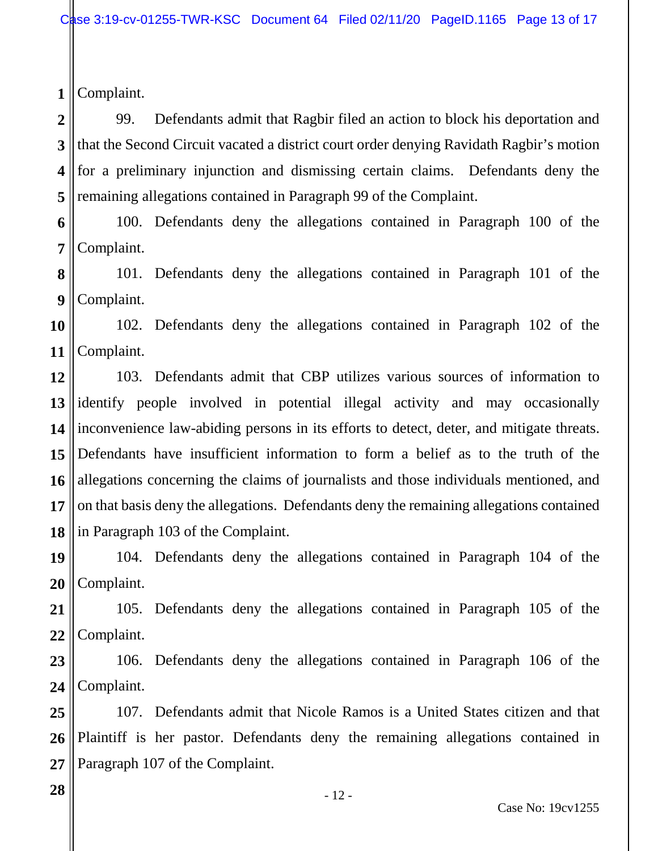**2 3 4 5** 99. Defendants admit that Ragbir filed an action to block his deportation and that the Second Circuit vacated a district court order denying Ravidath Ragbir's motion for a preliminary injunction and dismissing certain claims. Defendants deny the remaining allegations contained in Paragraph 99 of the Complaint.

**6 7** 100. Defendants deny the allegations contained in Paragraph 100 of the Complaint.

**8 9** 101. Defendants deny the allegations contained in Paragraph 101 of the Complaint.

**10 11** 102. Defendants deny the allegations contained in Paragraph 102 of the Complaint.

**12 13 14 15 16 17 18** 103. Defendants admit that CBP utilizes various sources of information to identify people involved in potential illegal activity and may occasionally inconvenience law-abiding persons in its efforts to detect, deter, and mitigate threats. Defendants have insufficient information to form a belief as to the truth of the allegations concerning the claims of journalists and those individuals mentioned, and on that basis deny the allegations. Defendants deny the remaining allegations contained in Paragraph 103 of the Complaint.

**19 20** 104. Defendants deny the allegations contained in Paragraph 104 of the Complaint.

**21 22** 105. Defendants deny the allegations contained in Paragraph 105 of the Complaint.

**23 24** 106. Defendants deny the allegations contained in Paragraph 106 of the Complaint.

**25 26 27** 107. Defendants admit that Nicole Ramos is a United States citizen and that Plaintiff is her pastor. Defendants deny the remaining allegations contained in Paragraph 107 of the Complaint.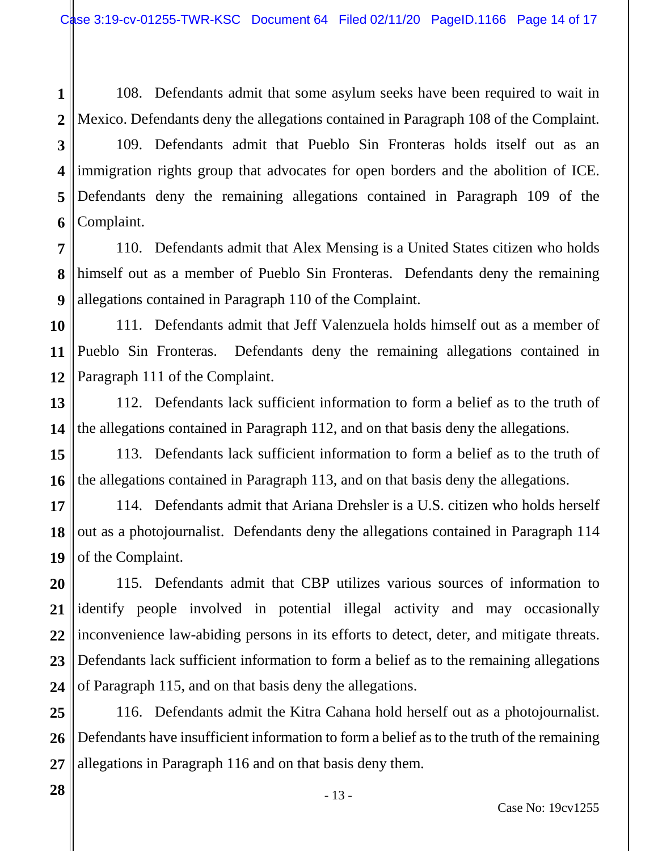**1 2** 108. Defendants admit that some asylum seeks have been required to wait in Mexico. Defendants deny the allegations contained in Paragraph 108 of the Complaint.

**3 4 5 6** 109. Defendants admit that Pueblo Sin Fronteras holds itself out as an immigration rights group that advocates for open borders and the abolition of ICE. Defendants deny the remaining allegations contained in Paragraph 109 of the Complaint.

**7 8 9** 110. Defendants admit that Alex Mensing is a United States citizen who holds himself out as a member of Pueblo Sin Fronteras. Defendants deny the remaining allegations contained in Paragraph 110 of the Complaint.

**10 11 12** 111. Defendants admit that Jeff Valenzuela holds himself out as a member of Pueblo Sin Fronteras. Defendants deny the remaining allegations contained in Paragraph 111 of the Complaint.

**13 14** 112. Defendants lack sufficient information to form a belief as to the truth of the allegations contained in Paragraph 112, and on that basis deny the allegations.

**15 16** 113. Defendants lack sufficient information to form a belief as to the truth of the allegations contained in Paragraph 113, and on that basis deny the allegations.

**17 18 19** 114. Defendants admit that Ariana Drehsler is a U.S. citizen who holds herself out as a photojournalist. Defendants deny the allegations contained in Paragraph 114 of the Complaint.

**20 21 22 23 24** 115. Defendants admit that CBP utilizes various sources of information to identify people involved in potential illegal activity and may occasionally inconvenience law-abiding persons in its efforts to detect, deter, and mitigate threats. Defendants lack sufficient information to form a belief as to the remaining allegations of Paragraph 115, and on that basis deny the allegations.

**25 26 27** 116. Defendants admit the Kitra Cahana hold herself out as a photojournalist. Defendants have insufficient information to form a belief as to the truth of the remaining allegations in Paragraph 116 and on that basis deny them.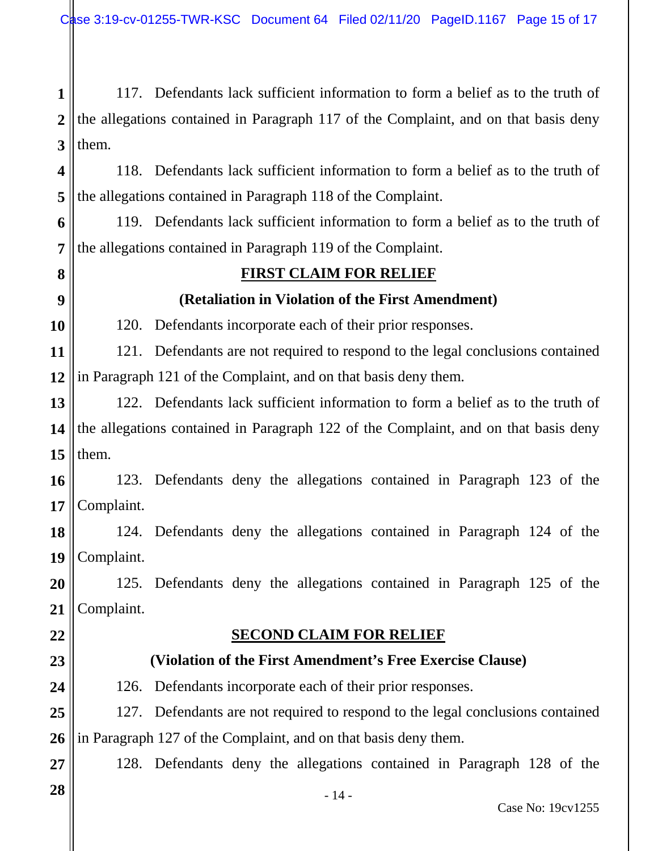**1 2 3** 117. Defendants lack sufficient information to form a belief as to the truth of the allegations contained in Paragraph 117 of the Complaint, and on that basis deny them.

**4 5** 118. Defendants lack sufficient information to form a belief as to the truth of the allegations contained in Paragraph 118 of the Complaint.

**6 7** 119. Defendants lack sufficient information to form a belief as to the truth of the allegations contained in Paragraph 119 of the Complaint.

**8**

**10**

**22**

**23**

**24**

**27**

**28**

# **9**

## **FIRST CLAIM FOR RELIEF**

#### **(Retaliation in Violation of the First Amendment)**

120. Defendants incorporate each of their prior responses.

**11 12** 121. Defendants are not required to respond to the legal conclusions contained in Paragraph 121 of the Complaint, and on that basis deny them.

**13 14 15** 122. Defendants lack sufficient information to form a belief as to the truth of the allegations contained in Paragraph 122 of the Complaint, and on that basis deny them.

**16 17** 123. Defendants deny the allegations contained in Paragraph 123 of the Complaint.

**18 19** 124. Defendants deny the allegations contained in Paragraph 124 of the Complaint.

**20 21** 125. Defendants deny the allegations contained in Paragraph 125 of the Complaint.

#### **SECOND CLAIM FOR RELIEF**

# **(Violation of the First Amendment's Free Exercise Clause)**

126. Defendants incorporate each of their prior responses.

**25 26** 127. Defendants are not required to respond to the legal conclusions contained in Paragraph 127 of the Complaint, and on that basis deny them.

128. Defendants deny the allegations contained in Paragraph 128 of the

- 14 -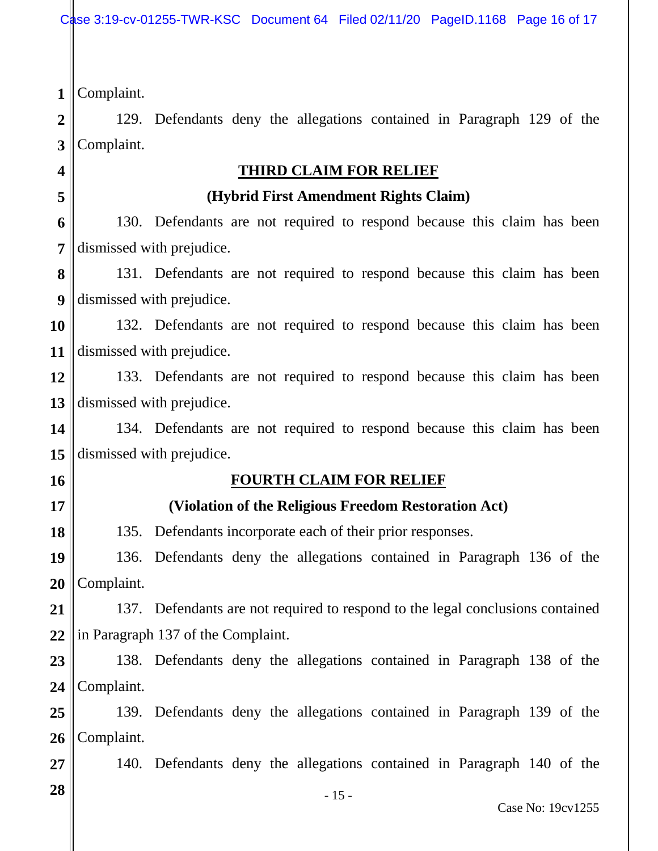**4**

**5**

**16**

**17**

**18**

**2 3** 129. Defendants deny the allegations contained in Paragraph 129 of the Complaint.

## **THIRD CLAIM FOR RELIEF**

#### **(Hybrid First Amendment Rights Claim)**

**6 7** 130. Defendants are not required to respond because this claim has been dismissed with prejudice.

**8 9** 131. Defendants are not required to respond because this claim has been dismissed with prejudice.

**10 11** 132. Defendants are not required to respond because this claim has been dismissed with prejudice.

**12 13** 133. Defendants are not required to respond because this claim has been dismissed with prejudice.

**14 15** 134. Defendants are not required to respond because this claim has been dismissed with prejudice.

# **FOURTH CLAIM FOR RELIEF**

# **(Violation of the Religious Freedom Restoration Act)**

135. Defendants incorporate each of their prior responses.

**19 20** 136. Defendants deny the allegations contained in Paragraph 136 of the Complaint.

**21 22** 137. Defendants are not required to respond to the legal conclusions contained in Paragraph 137 of the Complaint.

**23 24** 138. Defendants deny the allegations contained in Paragraph 138 of the Complaint.

**25 26** 139. Defendants deny the allegations contained in Paragraph 139 of the Complaint.

140. Defendants deny the allegations contained in Paragraph 140 of the

**28**